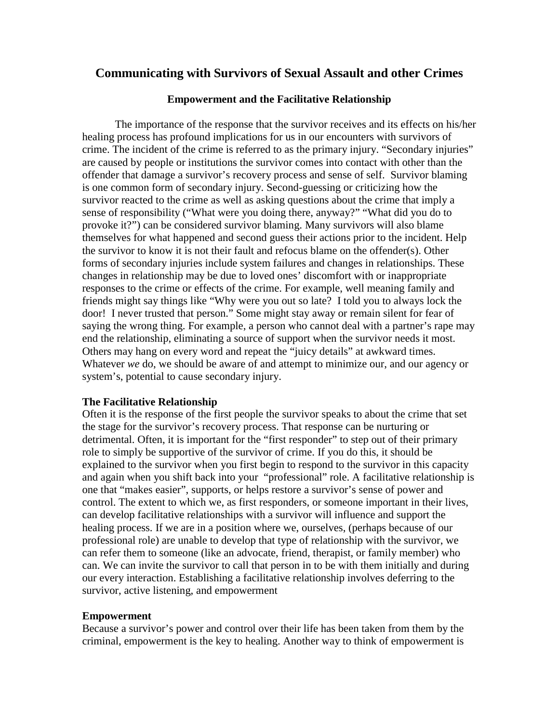# **Communicating with Survivors of Sexual Assault and other Crimes**

### **Empowerment and the Facilitative Relationship**

The importance of the response that the survivor receives and its effects on his/her healing process has profound implications for us in our encounters with survivors of crime. The incident of the crime is referred to as the primary injury. "Secondary injuries" are caused by people or institutions the survivor comes into contact with other than the offender that damage a survivor's recovery process and sense of self. Survivor blaming is one common form of secondary injury. Second-guessing or criticizing how the survivor reacted to the crime as well as asking questions about the crime that imply a sense of responsibility ("What were you doing there, anyway?" "What did you do to provoke it?") can be considered survivor blaming. Many survivors will also blame themselves for what happened and second guess their actions prior to the incident. Help the survivor to know it is not their fault and refocus blame on the offender(s). Other forms of secondary injuries include system failures and changes in relationships. These changes in relationship may be due to loved ones' discomfort with or inappropriate responses to the crime or effects of the crime. For example, well meaning family and friends might say things like "Why were you out so late? I told you to always lock the door! I never trusted that person." Some might stay away or remain silent for fear of saying the wrong thing. For example, a person who cannot deal with a partner's rape may end the relationship, eliminating a source of support when the survivor needs it most. Others may hang on every word and repeat the "juicy details" at awkward times. Whatever *we* do, we should be aware of and attempt to minimize our, and our agency or system's, potential to cause secondary injury.

#### **The Facilitative Relationship**

Often it is the response of the first people the survivor speaks to about the crime that set the stage for the survivor's recovery process. That response can be nurturing or detrimental. Often, it is important for the "first responder" to step out of their primary role to simply be supportive of the survivor of crime. If you do this, it should be explained to the survivor when you first begin to respond to the survivor in this capacity and again when you shift back into your "professional" role. A facilitative relationship is one that "makes easier", supports, or helps restore a survivor's sense of power and control. The extent to which we, as first responders, or someone important in their lives, can develop facilitative relationships with a survivor will influence and support the healing process. If we are in a position where we, ourselves, (perhaps because of our professional role) are unable to develop that type of relationship with the survivor, we can refer them to someone (like an advocate, friend, therapist, or family member) who can. We can invite the survivor to call that person in to be with them initially and during our every interaction. Establishing a facilitative relationship involves deferring to the survivor, active listening, and empowerment

#### **Empowerment**

Because a survivor's power and control over their life has been taken from them by the criminal, empowerment is the key to healing. Another way to think of empowerment is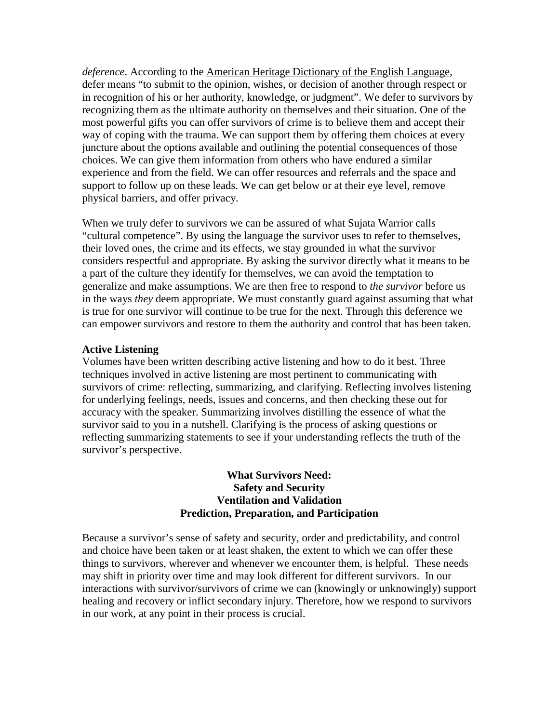*deference*. According to the American Heritage Dictionary of the English Language, defer means "to submit to the opinion, wishes, or decision of another through respect or in recognition of his or her authority, knowledge, or judgment". We defer to survivors by recognizing them as the ultimate authority on themselves and their situation. One of the most powerful gifts you can offer survivors of crime is to believe them and accept their way of coping with the trauma. We can support them by offering them choices at every juncture about the options available and outlining the potential consequences of those choices. We can give them information from others who have endured a similar experience and from the field. We can offer resources and referrals and the space and support to follow up on these leads. We can get below or at their eye level, remove physical barriers, and offer privacy.

When we truly defer to survivors we can be assured of what Sujata Warrior calls "cultural competence". By using the language the survivor uses to refer to themselves, their loved ones, the crime and its effects, we stay grounded in what the survivor considers respectful and appropriate. By asking the survivor directly what it means to be a part of the culture they identify for themselves, we can avoid the temptation to generalize and make assumptions. We are then free to respond to *the survivor* before us in the ways *they* deem appropriate. We must constantly guard against assuming that what is true for one survivor will continue to be true for the next. Through this deference we can empower survivors and restore to them the authority and control that has been taken.

#### **Active Listening**

Volumes have been written describing active listening and how to do it best. Three techniques involved in active listening are most pertinent to communicating with survivors of crime: reflecting, summarizing, and clarifying. Reflecting involves listening for underlying feelings, needs, issues and concerns, and then checking these out for accuracy with the speaker. Summarizing involves distilling the essence of what the survivor said to you in a nutshell. Clarifying is the process of asking questions or reflecting summarizing statements to see if your understanding reflects the truth of the survivor's perspective.

#### **What Survivors Need: Safety and Security Ventilation and Validation Prediction, Preparation, and Participation**

Because a survivor's sense of safety and security, order and predictability, and control and choice have been taken or at least shaken, the extent to which we can offer these things to survivors, wherever and whenever we encounter them, is helpful. These needs may shift in priority over time and may look different for different survivors. In our interactions with survivor/survivors of crime we can (knowingly or unknowingly) support healing and recovery or inflict secondary injury. Therefore, how we respond to survivors in our work, at any point in their process is crucial.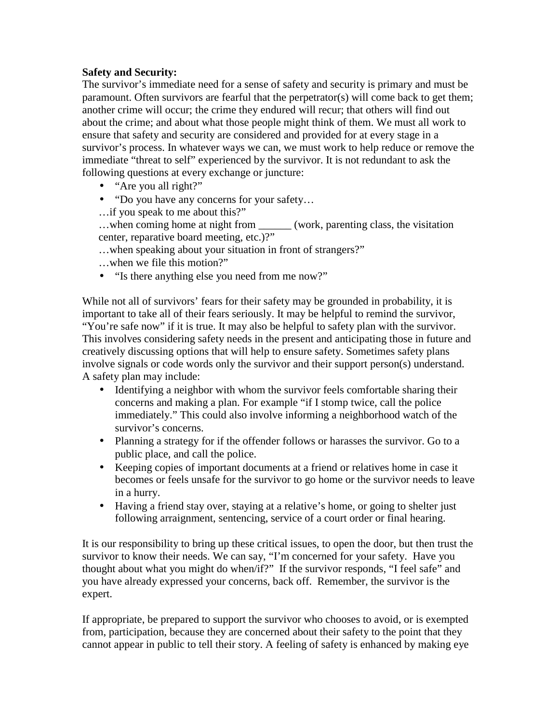## **Safety and Security:**

The survivor's immediate need for a sense of safety and security is primary and must be paramount. Often survivors are fearful that the perpetrator(s) will come back to get them; another crime will occur; the crime they endured will recur; that others will find out about the crime; and about what those people might think of them. We must all work to ensure that safety and security are considered and provided for at every stage in a survivor's process. In whatever ways we can, we must work to help reduce or remove the immediate "threat to self" experienced by the survivor. It is not redundant to ask the following questions at every exchange or juncture:

- "Are you all right?"
- "Do you have any concerns for your safety…
- …if you speak to me about this?"
- …when coming home at night from \_\_\_\_\_\_ (work, parenting class, the visitation center, reparative board meeting, etc.)?"
- …when speaking about your situation in front of strangers?"
- …when we file this motion?"
- "Is there anything else you need from me now?"

While not all of survivors' fears for their safety may be grounded in probability, it is important to take all of their fears seriously. It may be helpful to remind the survivor, "You're safe now" if it is true. It may also be helpful to safety plan with the survivor. This involves considering safety needs in the present and anticipating those in future and creatively discussing options that will help to ensure safety. Sometimes safety plans involve signals or code words only the survivor and their support person(s) understand. A safety plan may include:

- Identifying a neighbor with whom the survivor feels comfortable sharing their concerns and making a plan. For example "if I stomp twice, call the police immediately." This could also involve informing a neighborhood watch of the survivor's concerns.
- Planning a strategy for if the offender follows or harasses the survivor. Go to a public place, and call the police.
- Keeping copies of important documents at a friend or relatives home in case it becomes or feels unsafe for the survivor to go home or the survivor needs to leave in a hurry.
- Having a friend stay over, staying at a relative's home, or going to shelter just following arraignment, sentencing, service of a court order or final hearing.

It is our responsibility to bring up these critical issues, to open the door, but then trust the survivor to know their needs. We can say, "I'm concerned for your safety. Have you thought about what you might do when/if?" If the survivor responds, "I feel safe" and you have already expressed your concerns, back off. Remember, the survivor is the expert.

If appropriate, be prepared to support the survivor who chooses to avoid, or is exempted from, participation, because they are concerned about their safety to the point that they cannot appear in public to tell their story. A feeling of safety is enhanced by making eye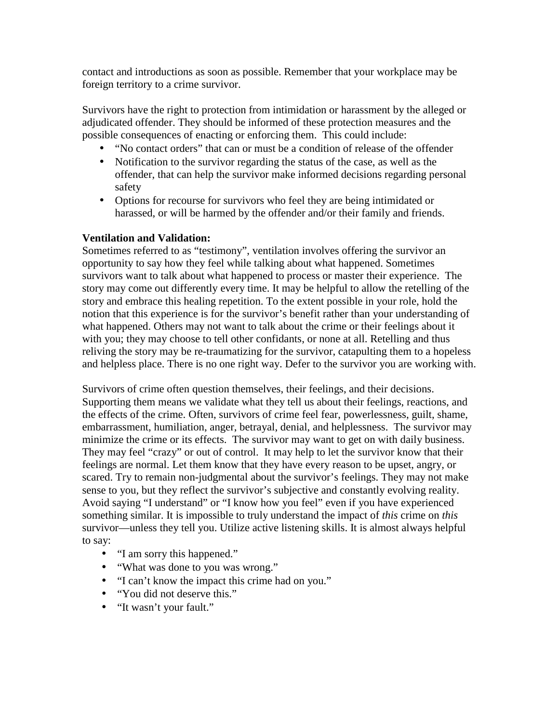contact and introductions as soon as possible. Remember that your workplace may be foreign territory to a crime survivor.

Survivors have the right to protection from intimidation or harassment by the alleged or adjudicated offender. They should be informed of these protection measures and the possible consequences of enacting or enforcing them. This could include:

- "No contact orders" that can or must be a condition of release of the offender
- Notification to the survivor regarding the status of the case, as well as the offender, that can help the survivor make informed decisions regarding personal safety
- Options for recourse for survivors who feel they are being intimidated or harassed, or will be harmed by the offender and/or their family and friends.

## **Ventilation and Validation:**

Sometimes referred to as "testimony", ventilation involves offering the survivor an opportunity to say how they feel while talking about what happened. Sometimes survivors want to talk about what happened to process or master their experience. The story may come out differently every time. It may be helpful to allow the retelling of the story and embrace this healing repetition. To the extent possible in your role, hold the notion that this experience is for the survivor's benefit rather than your understanding of what happened. Others may not want to talk about the crime or their feelings about it with you; they may choose to tell other confidants, or none at all. Retelling and thus reliving the story may be re-traumatizing for the survivor, catapulting them to a hopeless and helpless place. There is no one right way. Defer to the survivor you are working with.

Survivors of crime often question themselves, their feelings, and their decisions. Supporting them means we validate what they tell us about their feelings, reactions, and the effects of the crime. Often, survivors of crime feel fear, powerlessness, guilt, shame, embarrassment, humiliation, anger, betrayal, denial, and helplessness. The survivor may minimize the crime or its effects. The survivor may want to get on with daily business. They may feel "crazy" or out of control. It may help to let the survivor know that their feelings are normal. Let them know that they have every reason to be upset, angry, or scared. Try to remain non-judgmental about the survivor's feelings. They may not make sense to you, but they reflect the survivor's subjective and constantly evolving reality. Avoid saying "I understand" or "I know how you feel" even if you have experienced something similar. It is impossible to truly understand the impact of *this* crime on *this* survivor—unless they tell you. Utilize active listening skills. It is almost always helpful to say:

- "I am sorry this happened."
- "What was done to you was wrong."
- "I can't know the impact this crime had on you."
- "You did not deserve this."
- "It wasn't your fault."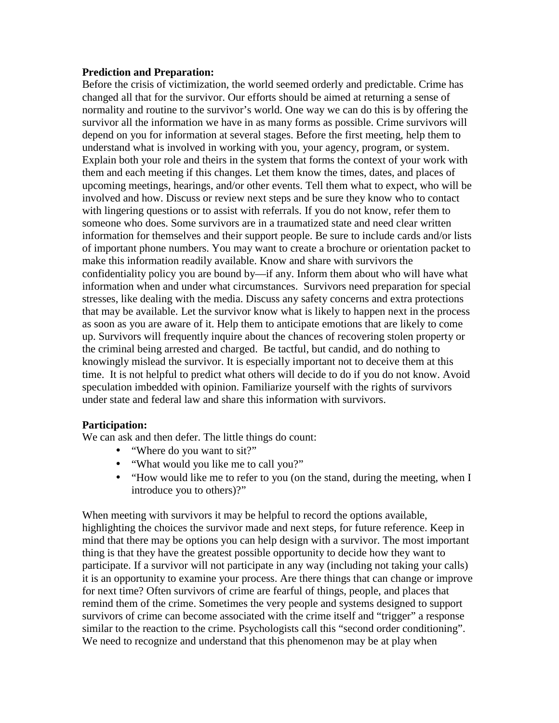#### **Prediction and Preparation:**

Before the crisis of victimization, the world seemed orderly and predictable. Crime has changed all that for the survivor. Our efforts should be aimed at returning a sense of normality and routine to the survivor's world. One way we can do this is by offering the survivor all the information we have in as many forms as possible. Crime survivors will depend on you for information at several stages. Before the first meeting, help them to understand what is involved in working with you, your agency, program, or system. Explain both your role and theirs in the system that forms the context of your work with them and each meeting if this changes. Let them know the times, dates, and places of upcoming meetings, hearings, and/or other events. Tell them what to expect, who will be involved and how. Discuss or review next steps and be sure they know who to contact with lingering questions or to assist with referrals. If you do not know, refer them to someone who does. Some survivors are in a traumatized state and need clear written information for themselves and their support people. Be sure to include cards and/or lists of important phone numbers. You may want to create a brochure or orientation packet to make this information readily available. Know and share with survivors the confidentiality policy you are bound by—if any. Inform them about who will have what information when and under what circumstances. Survivors need preparation for special stresses, like dealing with the media. Discuss any safety concerns and extra protections that may be available. Let the survivor know what is likely to happen next in the process as soon as you are aware of it. Help them to anticipate emotions that are likely to come up. Survivors will frequently inquire about the chances of recovering stolen property or the criminal being arrested and charged. Be tactful, but candid, and do nothing to knowingly mislead the survivor. It is especially important not to deceive them at this time. It is not helpful to predict what others will decide to do if you do not know. Avoid speculation imbedded with opinion. Familiarize yourself with the rights of survivors under state and federal law and share this information with survivors.

#### **Participation:**

We can ask and then defer. The little things do count:

- "Where do you want to sit?"
- "What would you like me to call you?"
- "How would like me to refer to you (on the stand, during the meeting, when I introduce you to others)?"

When meeting with survivors it may be helpful to record the options available, highlighting the choices the survivor made and next steps, for future reference. Keep in mind that there may be options you can help design with a survivor. The most important thing is that they have the greatest possible opportunity to decide how they want to participate. If a survivor will not participate in any way (including not taking your calls) it is an opportunity to examine your process. Are there things that can change or improve for next time? Often survivors of crime are fearful of things, people, and places that remind them of the crime. Sometimes the very people and systems designed to support survivors of crime can become associated with the crime itself and "trigger" a response similar to the reaction to the crime. Psychologists call this "second order conditioning". We need to recognize and understand that this phenomenon may be at play when